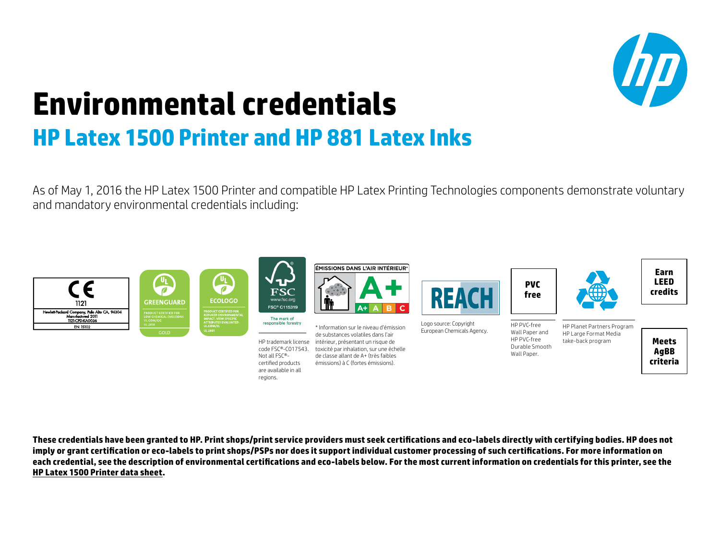

## **Environmental credentials HP Latex 1500 Printer and HP 881 Latex Inks**

regions.

As of May 1, 2016 the HP Latex 1500 Printer and compatible HP Latex Printing Technologies components demonstrate voluntary and mandatory environmental credentials including:



**These credentials have been granted to HP. Print shops/print service providers must seek certifications and eco-labels directly with certifying bodies. HP does not imply or grant certification or eco-labels to print shops/PSPs nor does it support individual customer processing of such certifications. For more information on each credential, see the description of environmental certifications and eco-labels below. For the most current information on credentials for this printer, see the [HP Latex 1500 Printer data sheet](http://h20195.www2.hp.com/V2/GetPDF.aspx/4AA6-4186EEW.pdf).**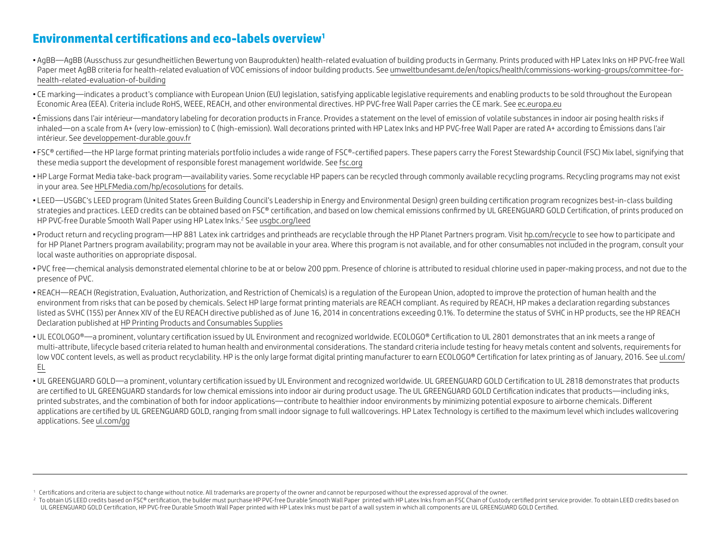## **Environmental certifications and eco-labels overview<sup>1</sup>**

- AgBB—AgBB (Ausschuss zur gesundheitlichen Bewertung von Bauprodukten) health-related evaluation of building products in Germany. Prints produced with HP Latex Inks on HP PVC-free Wall Paper meet AgBB criteria for health-related evaluation of VOC emissions of indoor building products. See [umweltbundesamt.de/en/topics/health/commissions-working-groups/committee-for](http://umweltbundesamt.de/en/topics/health/commissions-working-groups/committee-for-health-related-evaluation-of-building)[health-related-evaluation-of-building](http://umweltbundesamt.de/en/topics/health/commissions-working-groups/committee-for-health-related-evaluation-of-building)
- CE marking—indicates a product's compliance with European Union (EU) legislation, satisfying applicable legislative requirements and enabling products to be sold throughout the European Economic Area (EEA). Criteria include RoHS, WEEE, REACH, and other environmental directives. HP PVC-free Wall Paper carries the CE mark. See [ec.europa.eu](http://ec.europa.eu)
- Émissions dans l'air intérieur—mandatory labeling for decoration products in France. Provides a statement on the level of emission of volatile substances in indoor air posing health risks if inhaled—on a scale from A+ (very low-emission) to C (high-emission). Wall decorations printed with HP Latex Inks and HP PVC-free Wall Paper are rated A+ according to Émissions dans l'air intérieur. See [developpement-durable.gouv.fr](http://developpement-durable.gouv.fr)
- $\bullet$  FSC® certified—the HP large format printing materials portfolio includes a wide range of FSC®-certified papers. These papers carry the Forest Stewardship Council (FSC) Mix label, signifying that these media support the development of responsible forest management worldwide. See [fsc.org](http://www.fsc.org)
- HP Large Format Media take-back program—availability varies. Some recyclable HP papers can be recycled through commonly available recycling programs. Recycling programs may not exist in your area. See [HPLFMedia.com/hp/ecosolutions](http://HPLFMedia.com/hp/ecosolutions) for details.
- LEED—USGBC's LEED program (United States Green Building Council's Leadership in Energy and Environmental Design) green building certification program recognizes best-in-class building strategies and practices. LEED credits can be obtained based on FSC® certification, and based on low chemical emissions confirmed by UL GREENGUARD GOLD Certification, of prints produced on HP PVC-free Durable Smooth Wall Paper using HP Latex Inks.2 See [usgbc.org/leed](http://usgbc.org/leed)
- Product return and recycling program—HP 881 Latex ink cartridges and printheads are recyclable through the HP Planet Partners program. Visit [hp.com/recycle](http://hp.com/recycle) to see how to participate and for HP Planet Partners program availability; program may not be available in your area. Where this program is not available, and for other consumables not included in the program, consult your local waste authorities on appropriate disposal.
- PVC free—chemical analysis demonstrated elemental chlorine to be at or below 200 ppm. Presence of chlorine is attributed to residual chlorine used in paper-making process, and not due to the presence of PVC.
- REACH—REACH (Registration, Evaluation, Authorization, and Restriction of Chemicals) is a regulation of the European Union, adopted to improve the protection of human health and the environment from risks that can be posed by chemicals. Select HP large format printing materials are REACH compliant. As required by REACH, HP makes a declaration regarding substances listed as SVHC (155) per Annex XIV of the EU REACH directive published as of June 16, 2014 in concentrations exceeding 0.1%. To determine the status of SVHC in HP products, see the HP REACH Declaration published at [HP Printing Products and Consumables Supplies](http://www.hp.com/hpinfo/globalcitizenship/environment/productdata/Countries/_MultiCountry/reach_allpr_20141220191031.pdf)
- UL ECOLOGO®—a prominent, voluntary certification issued by UL Environment and recognized worldwide. ECOLOGO® Certification to UL 2801 demonstrates that an ink meets a range of multi-attribute, lifecycle based criteria related to human health and environmental considerations. The standard criteria include testing for heavy metals content and solvents, requirements for low VOC content levels, as well as product recyclability. HP is the only large format digital printing manufacturer to earn ECOLOGO® Certification for latex printing as of January, 2016. See ul.com/ EL
- UL GREENGUARD GOLD—a prominent, voluntary certification issued by UL Environment and recognized worldwide. UL GREENGUARD GOLD Certification to UL 2818 demonstrates that products are certified to UL GREENGUARD standards for low chemical emissions into indoor air during product usage. The UL GREENGUARD GOLD Certification indicates that products—including inks, printed substrates, and the combination of both for indoor applications—contribute to healthier indoor environments by minimizing potential exposure to airborne chemicals. Different applications are certified by UL GREENGUARD GOLD, ranging from small indoor signage to full wallcoverings. HP Latex Technology is certified to the maximum level which includes wallcovering applications. See [ul.com/gg](http://ul.com/gg)

<sup>&</sup>lt;sup>1</sup> Certifications and criteria are subject to change without notice. All trademarks are property of the owner and cannot be repurposed without the expressed approval of the owner.

<sup>&</sup>lt;sup>2</sup> To obtain US LEED credits based on FSC® certification, the builder must purchase HP PVC-free Durable Smooth Wall Paper printed with HP Latex Inks from an FSC Chain of Custody certified print service provider. To obtain UL GREENGUARD GOLD Certification, HP PVC-free Durable Smooth Wall Paper printed with HP Latex Inks must be part of a wall system in which all components are UL GREENGUARD GOLD Certified.